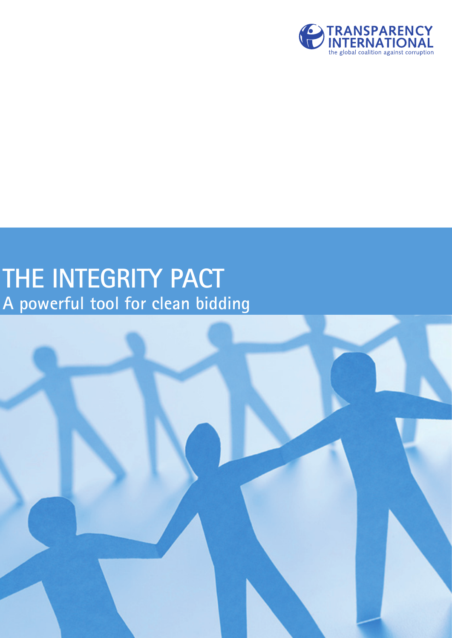

# **THE INTEGRITY PACT A powerful tool for clean bidding**

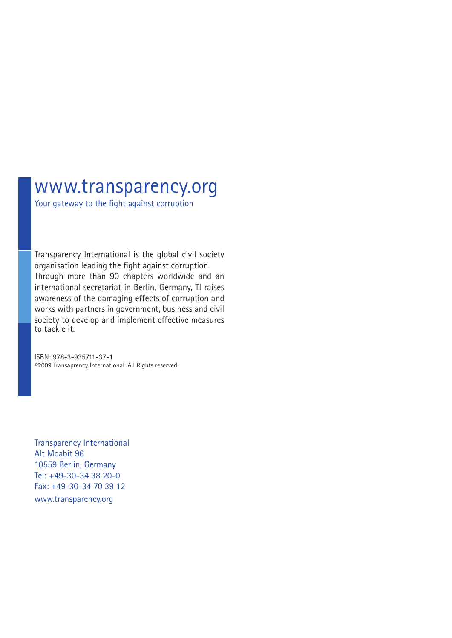# www.transparency.org

Your gateway to the fight against corruption

Transparency International is the global civil society organisation leading the fight against corruption. Through more than 90 chapters worldwide and an international secretariat in Berlin, Germany, TI raises awareness of the damaging effects of corruption and works with partners in government, business and civil society to develop and implement effective measures to tackle it.

ISBN: 978-3-935711-37-1 ©2009 Transaprency International. All Rights reserved.

Transparency International Alt Moabit 96 10559 Berlin, Germany Tel: +49-30-34 38 20-0 Fax: +49-30-34 70 39 12 www.transparency.org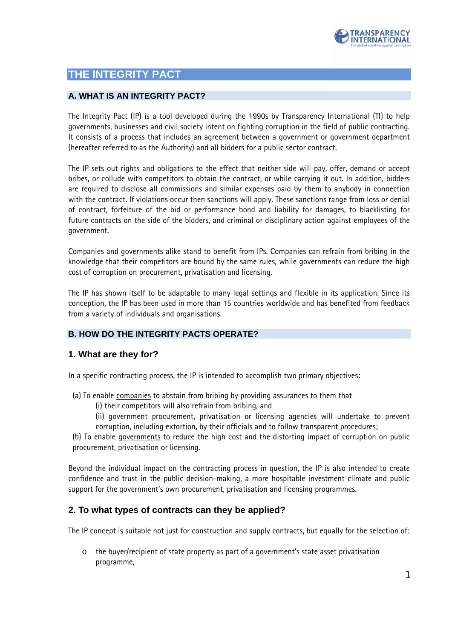

## **THE INTEGRITY PACT**

#### **A. WHAT IS AN INTEGRITY PACT?**

The Integrity Pact (IP) is a tool developed during the 1990s by Transparency International (TI) to help governments, businesses and civil society intent on fighting corruption in the field of public contracting. It consists of a process that includes an agreement between a government or government department (hereafter referred to as the Authority) and all bidders for a public sector contract.

The IP sets out rights and obligations to the effect that neither side will pay, offer, demand or accept bribes, or collude with competitors to obtain the contract, or while carrying it out. In addition, bidders are required to disclose all commissions and similar expenses paid by them to anybody in connection with the contract. If violations occur then sanctions will apply. These sanctions range from loss or denial of contract, forfeiture of the bid or performance bond and liability for damages, to blacklisting for future contracts on the side of the bidders, and criminal or disciplinary action against employees of the government.

Companies and governments alike stand to benefit from IPs. Companies can refrain from bribing in the knowledge that their competitors are bound by the same rules, while governments can reduce the high cost of corruption on procurement, privatisation and licensing.

The IP has shown itself to be adaptable to many legal settings and flexible in its application. Since its conception, the IP has been used in more than 15 countries worldwide and has benefited from feedback from a variety of individuals and organisations.

#### **B. HOW DO THE INTEGRITY PACTS OPERATE?**

#### **1. What are they for?**

In a specific contracting process, the IP is intended to accomplish two primary objectives:

- (a) To enable companies to abstain from bribing by providing assurances to them that
	- (i) their competitors will also refrain from bribing, and
	- (ii) government procurement, privatisation or licensing agencies will undertake to prevent corruption, including extortion, by their officials and to follow transparent procedures;

(b) To enable governments to reduce the high cost and the distorting impact of corruption on public procurement, privatisation or licensing.

Beyond the individual impact on the contracting process in question, the IP is also intended to create confidence and trust in the public decision-making, a more hospitable investment climate and public support for the government's own procurement, privatisation and licensing programmes.

#### **2. To what types of contracts can they be applied?**

The IP concept is suitable not just for construction and supply contracts, but equally for the selection of:

o the buyer/recipient of state property as part of a government's state asset privatisation programme,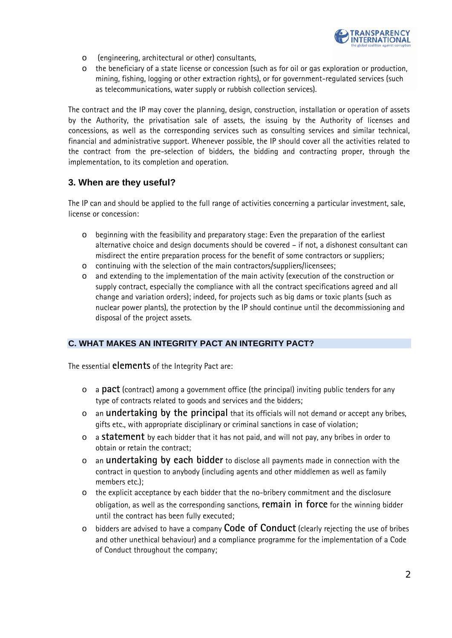

- o (engineering, architectural or other) consultants,
- o the beneficiary of a state license or concession (such as for oil or gas exploration or production, mining, fishing, logging or other extraction rights), or for government-regulated services (such as telecommunications, water supply or rubbish collection services).

The contract and the IP may cover the planning, design, construction, installation or operation of assets by the Authority, the privatisation sale of assets, the issuing by the Authority of licenses and concessions, as well as the corresponding services such as consulting services and similar technical, financial and administrative support. Whenever possible, the IP should cover all the activities related to the contract from the pre-selection of bidders, the bidding and contracting proper, through the implementation, to its completion and operation.

#### **3. When are they useful?**

The IP can and should be applied to the full range of activities concerning a particular investment, sale, license or concession:

- o beginning with the feasibility and preparatory stage: Even the preparation of the earliest alternative choice and design documents should be covered – if not, a dishonest consultant can misdirect the entire preparation process for the benefit of some contractors or suppliers;
- o continuing with the selection of the main contractors/suppliers/licensees;
- o and extending to the implementation of the main activity (execution of the construction or supply contract, especially the compliance with all the contract specifications agreed and all change and variation orders); indeed, for projects such as big dams or toxic plants (such as nuclear power plants), the protection by the IP should continue until the decommissioning and disposal of the project assets.

#### **C. WHAT MAKES AN INTEGRITY PACT AN INTEGRITY PACT?**

The essential **elements** of the Integrity Pact are:

- o a **pact** (contract) among a government office (the principal) inviting public tenders for any type of contracts related to goods and services and the bidders;
- o an **undertaking by the principal** that its officials will not demand or accept any bribes, gifts etc., with appropriate disciplinary or criminal sanctions in case of violation;
- o a **statement** by each bidder that it has not paid, and will not pay, any bribes in order to obtain or retain the contract;
- o an **undertaking by each bidder** to disclose all payments made in connection with the contract in question to anybody (including agents and other middlemen as well as family members etc.);
- the explicit acceptance by each bidder that the no-bribery commitment and the disclosure obligation, as well as the corresponding sanctions, **remain in force** for the winning bidder until the contract has been fully executed;
- o bidders are advised to have a company **Code of Conduct** (clearly rejecting the use of bribes and other unethical behaviour) and a compliance programme for the implementation of a Code of Conduct throughout the company;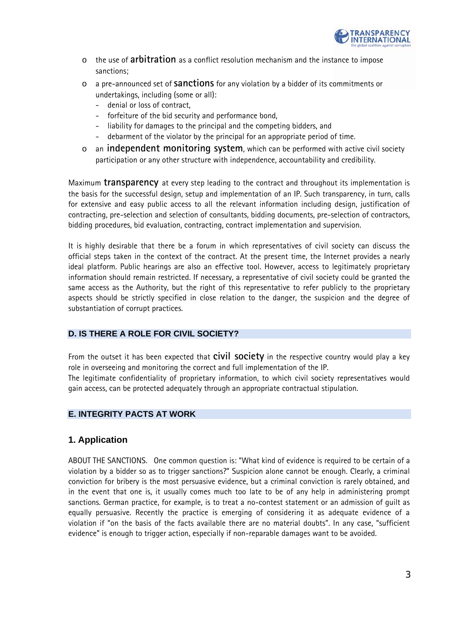

- o the use of **arbitration** as a conflict resolution mechanism and the instance to impose sanctions;
- o a pre-announced set of **sanctions** for any violation by a bidder of its commitments or undertakings, including (some or all):
	- denial or loss of contract.
	- forfeiture of the bid security and performance bond,
	- liability for damages to the principal and the competing bidders, and
	- debarment of the violator by the principal for an appropriate period of time.
- o an **independent monitoring system**, which can be performed with active civil society participation or any other structure with independence, accountability and credibility.

Maximum **transparency** at every step leading to the contract and throughout its implementation is the basis for the successful design, setup and implementation of an IP. Such transparency, in turn, calls for extensive and easy public access to all the relevant information including design, justification of contracting, pre-selection and selection of consultants, bidding documents, pre-selection of contractors, bidding procedures, bid evaluation, contracting, contract implementation and supervision.

It is highly desirable that there be a forum in which representatives of civil society can discuss the official steps taken in the context of the contract. At the present time, the Internet provides a nearly ideal platform. Public hearings are also an effective tool. However, access to legitimately proprietary information should remain restricted. If necessary, a representative of civil society could be granted the same access as the Authority, but the right of this representative to refer publicly to the proprietary aspects should be strictly specified in close relation to the danger, the suspicion and the degree of substantiation of corrupt practices.

#### **D. IS THERE A ROLE FOR CIVIL SOCIETY?**

From the outset it has been expected that **civil society** in the respective country would play a key role in overseeing and monitoring the correct and full implementation of the IP.

The legitimate confidentiality of proprietary information, to which civil society representatives would gain access, can be protected adequately through an appropriate contractual stipulation.

#### **E. INTEGRITY PACTS AT WORK**

#### **1. Application**

ABOUT THE SANCTIONS. One common question is: "What kind of evidence is required to be certain of a violation by a bidder so as to trigger sanctions?" Suspicion alone cannot be enough. Clearly, a criminal conviction for bribery is the most persuasive evidence, but a criminal conviction is rarely obtained, and in the event that one is, it usually comes much too late to be of any help in administering prompt sanctions. German practice, for example, is to treat a no-contest statement or an admission of guilt as equally persuasive. Recently the practice is emerging of considering it as adequate evidence of a violation if "on the basis of the facts available there are no material doubts". In any case, "sufficient evidence" is enough to trigger action, especially if non-reparable damages want to be avoided.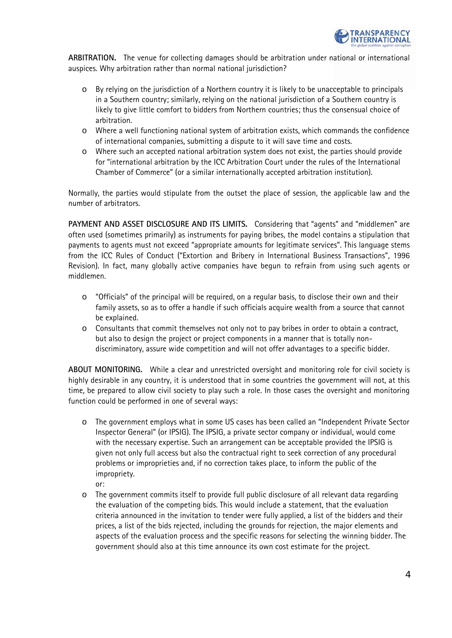

**ARBITRATION.** The venue for collecting damages should be arbitration under national or international auspices. Why arbitration rather than normal national jurisdiction?

- o By relying on the jurisdiction of a Northern country it is likely to be unacceptable to principals in a Southern country; similarly, relying on the national jurisdiction of a Southern country is likely to give little comfort to bidders from Northern countries; thus the consensual choice of arbitration.
- o Where a well functioning national system of arbitration exists, which commands the confidence of international companies, submitting a dispute to it will save time and costs.
- o Where such an accepted national arbitration system does not exist, the parties should provide for "international arbitration by the ICC Arbitration Court under the rules of the International Chamber of Commerce" (or a similar internationally accepted arbitration institution).

Normally, the parties would stipulate from the outset the place of session, the applicable law and the number of arbitrators.

**PAYMENT AND ASSET DISCLOSURE AND ITS LIMITS.** Considering that "agents" and "middlemen" are often used (sometimes primarily) as instruments for paying bribes, the model contains a stipulation that payments to agents must not exceed "appropriate amounts for legitimate services". This language stems from the ICC Rules of Conduct ("Extortion and Bribery in International Business Transactions", 1996 Revision). In fact, many globally active companies have begun to refrain from using such agents or middlemen.

- $\circ$  "Officials" of the principal will be required, on a reqular basis, to disclose their own and their family assets, so as to offer a handle if such officials acquire wealth from a source that cannot be explained.
- o Consultants that commit themselves not only not to pay bribes in order to obtain a contract, but also to design the project or project components in a manner that is totally nondiscriminatory, assure wide competition and will not offer advantages to a specific bidder.

**ABOUT MONITORING.** While a clear and unrestricted oversight and monitoring role for civil society is highly desirable in any country, it is understood that in some countries the government will not, at this time, be prepared to allow civil society to play such a role. In those cases the oversight and monitoring function could be performed in one of several ways:

- o The government employs what in some US cases has been called an "Independent Private Sector Inspector General" (or IPSIG). The IPSIG, a private sector company or individual, would come with the necessary expertise. Such an arrangement can be acceptable provided the IPSIG is given not only full access but also the contractual right to seek correction of any procedural problems or improprieties and, if no correction takes place, to inform the public of the impropriety.
	- or:
- o The government commits itself to provide full public disclosure of all relevant data regarding the evaluation of the competing bids. This would include a statement, that the evaluation criteria announced in the invitation to tender were fully applied, a list of the bidders and their prices, a list of the bids rejected, including the grounds for rejection, the major elements and aspects of the evaluation process and the specific reasons for selecting the winning bidder. The government should also at this time announce its own cost estimate for the project.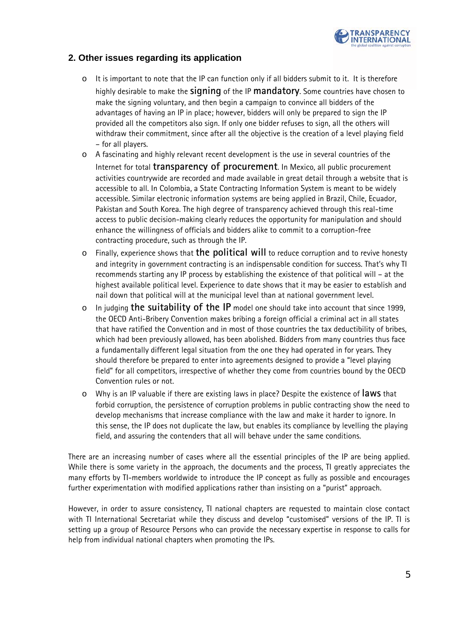

#### **2. Other issues regarding its application**

- o It is important to note that the IP can function only if all bidders submit to it. It is therefore highly desirable to make the **signing** of the IP **mandatory**. Some countries have chosen to make the signing voluntary, and then begin a campaign to convince all bidders of the advantages of having an IP in place; however, bidders will only be prepared to sign the IP provided all the competitors also sign. If only one bidder refuses to sign, all the others will withdraw their commitment, since after all the objective is the creation of a level playing field – for all players.
- o A fascinating and highly relevant recent development is the use in several countries of the Internet for total **transparency of procurement**. In Mexico, all public procurement activities countrywide are recorded and made available in great detail through a website that is accessible to all. In Colombia, a State Contracting Information System is meant to be widely accessible. Similar electronic information systems are being applied in Brazil, Chile, Ecuador, Pakistan and South Korea. The high degree of transparency achieved through this real-time access to public decision-making clearly reduces the opportunity for manipulation and should enhance the willingness of officials and bidders alike to commit to a corruption-free contracting procedure, such as through the IP.
- o Finally, experience shows that **the political will** to reduce corruption and to revive honesty and integrity in government contracting is an indispensable condition for success. That's why TI recommends starting any IP process by establishing the existence of that political will – at the highest available political level. Experience to date shows that it may be easier to establish and nail down that political will at the municipal level than at national government level.
- o In judging **the suitability of the IP** model one should take into account that since 1999, the OECD Anti-Bribery Convention makes bribing a foreign official a criminal act in all states that have ratified the Convention and in most of those countries the tax deductibility of bribes, which had been previously allowed, has been abolished. Bidders from many countries thus face a fundamentally different legal situation from the one they had operated in for years. They should therefore be prepared to enter into agreements designed to provide a "level playing field" for all competitors, irrespective of whether they come from countries bound by the OECD Convention rules or not.
- o Why is an IP valuable if there are existing laws in place? Despite the existence of **laws** that forbid corruption, the persistence of corruption problems in public contracting show the need to develop mechanisms that increase compliance with the law and make it harder to ignore. In this sense, the IP does not duplicate the law, but enables its compliance by levelling the playing field, and assuring the contenders that all will behave under the same conditions.

There are an increasing number of cases where all the essential principles of the IP are being applied. While there is some variety in the approach, the documents and the process, TI greatly appreciates the many efforts by TI-members worldwide to introduce the IP concept as fully as possible and encourages further experimentation with modified applications rather than insisting on a "purist" approach.

However, in order to assure consistency, TI national chapters are requested to maintain close contact with TI International Secretariat while they discuss and develop "customised" versions of the IP. TI is setting up a group of Resource Persons who can provide the necessary expertise in response to calls for help from individual national chapters when promoting the IPs.